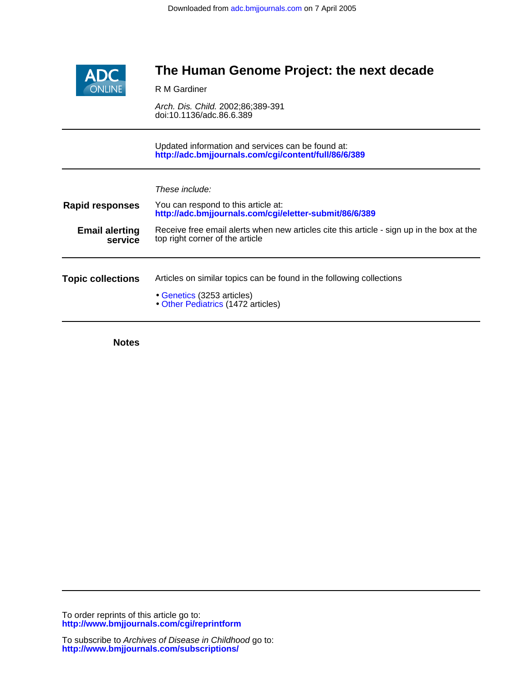

## **The Human Genome Project: the next decade**

R M Gardiner

doi:10.1136/adc.86.6.389 Arch. Dis. Child. 2002;86;389-391

**<http://adc.bmjjournals.com/cgi/content/full/86/6/389>** Updated information and services can be found at:

| These include: |  |  |
|----------------|--|--|
|                |  |  |

| <b>Rapid responses</b>           | You can respond to this article at:<br>http://adc.bmjjournals.com/cgi/eletter-submit/86/6/389                                        |  |
|----------------------------------|--------------------------------------------------------------------------------------------------------------------------------------|--|
| <b>Email alerting</b><br>service | Receive free email alerts when new articles cite this article - sign up in the box at the<br>top right corner of the article         |  |
| <b>Topic collections</b>         | Articles on similar topics can be found in the following collections<br>Genetics (3253 articles)<br>Other Pediatrics (1472 articles) |  |

**Notes**

**<http://www.bmjjournals.com/cgi/reprintform>** To order reprints of this article go to: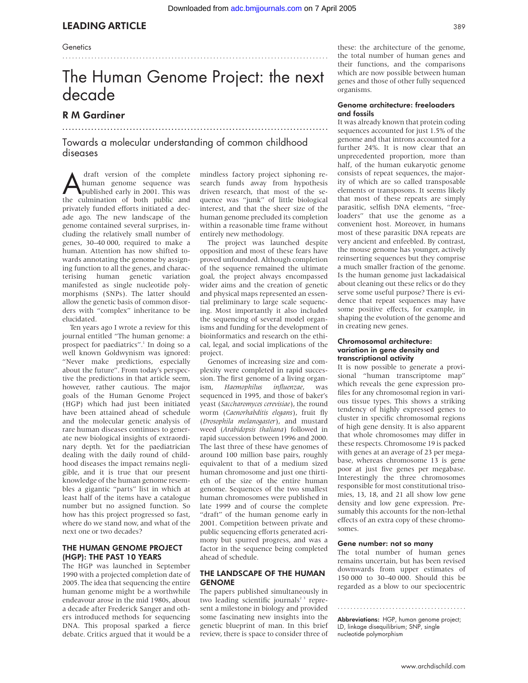## **LEADING ARTICLE** 389

**Genetics** 

# The Human Genome Project: the next decade

...................................................................................

## R M Gardiner ...................................................................................

Towards a molecular understanding of common childhood diseases

A draft version of the complete<br>human genome sequence was<br>published early in 2001. This was human genome sequence was published early in 2001. This was the culmination of both public and privately funded efforts initiated a decade ago. The new landscape of the genome contained several surprises, including the relatively small number of genes, 30–40 000, required to make a human. Attention has now shifted towards annotating the genome by assigning function to all the genes, and characterising human genetic variation manifested as single nucleotide polymorphisms (SNPs). The latter should allow the genetic basis of common disorders with "complex" inheritance to be elucidated.

Ten years ago I wrote a review for this journal entitled "The human genome: a prospect for paediatrics".<sup>1</sup> In doing so a well known Goldwynism was ignored: "Never make predictions, especially about the future". From today's perspective the predictions in that article seem, however, rather cautious. The major goals of the Human Genome Project (HGP) which had just been initiated have been attained ahead of schedule and the molecular genetic analysis of rare human diseases continues to generate new biological insights of extraordinary depth. Yet for the paediatrician dealing with the daily round of childhood diseases the impact remains negligible, and it is true that our present knowledge of the human genome resembles a gigantic "parts" list in which at least half of the items have a catalogue number but no assigned function. So how has this project progressed so fast, where do we stand now, and what of the next one or two decades?

#### THE HUMAN GENOME PROJECT (HGP): THE PAST 10 YEARS

The HGP was launched in September 1990 with a projected completion date of 2005. The idea that sequencing the entire human genome might be a worthwhile endeavour arose in the mid 1980s, about a decade after Frederick Sanger and others introduced methods for sequencing DNA. This proposal sparked a fierce debate. Critics argued that it would be a

mindless factory project siphoning research funds away from hypothesis driven research, that most of the sequence was "junk" of little biological interest, and that the sheer size of the human genome precluded its completion within a reasonable time frame without entirely new methodology.

The project was launched despite opposition and most of these fears have proved unfounded. Although completion of the sequence remained the ultimate goal, the project always encompassed wider aims and the creation of genetic and physical maps represented an essential preliminary to large scale sequencing. Most importantly it also included the sequencing of several model organisms and funding for the development of bioinformatics and research on the ethical, legal, and social implications of the project.

Genomes of increasing size and complexity were completed in rapid succession. The first genome of a living organism, *Haemophilus influenzae*, was sequenced in 1995, and those of baker's yeast (*Saccharomyces cerevisiae*), the round worm (*Caenorhabditis elegans*), fruit fly (*Drosophila melanogaster*), and mustard weed (*Arabidopsis thaliana*) followed in rapid succession between 1996 and 2000. The last three of these have genomes of around 100 million base pairs, roughly equivalent to that of a medium sized human chromosome and just one thirtieth of the size of the entire human genome. Sequences of the two smallest human chromosomes were published in late 1999 and of course the complete "draft" of the human genome early in 2001. Competition between private and public sequencing efforts generated acrimony but spurred progress, and was a factor in the sequence being completed ahead of schedule.

#### THE LANDSCAPE OF THE HUMAN GENOME

The papers published simultaneously in two leading scientific journals<sup>23</sup> represent a milestone in biology and provided some fascinating new insights into the genetic blueprint of man. In this brief review, there is space to consider three of these: the architecture of the genome, the total number of human genes and their functions, and the comparisons which are now possible between human genes and those of other fully sequenced organisms.

#### Genome architecture: freeloaders and fossils

It was already known that protein coding sequences accounted for just 1.5% of the genome and that introns accounted for a further 24%. It is now clear that an unprecedented proportion, more than half, of the human eukaryotic genome consists of repeat sequences, the majority of which are so called transposable elements or transposons. It seems likely that most of these repeats are simply parasitic, selfish DNA elements, "freeloaders" that use the genome as a convenient host. Moreover, in humans most of these parasitic DNA repeats are very ancient and enfeebled. By contrast, the mouse genome has younger, actively reinserting sequences but they comprise a much smaller fraction of the genome. Is the human genome just lackadaisical about cleaning out these relics or do they serve some useful purpose? There is evidence that repeat sequences may have some positive effects, for example, in shaping the evolution of the genome and in creating new genes.

#### Chromosomal architecture: variation in gene density and transcriptional activity

It is now possible to generate a provisional "human transcriptome map" which reveals the gene expression profiles for any chromosomal region in various tissue types. This shows a striking tendency of highly expressed genes to cluster in specific chromosomal regions of high gene density. It is also apparent that whole chromosomes may differ in these respects. Chromosome 19 is packed with genes at an average of 23 per megabase, whereas chromosome 13 is gene poor at just five genes per megabase. Interestingly the three chromosomes responsible for most constitutional trisomies, 13, 18, and 21 all show low gene density and low gene expression. Presumably this accounts for the non-lethal effects of an extra copy of these chromosomes.

#### Gene number: not so many

The total number of human genes remains uncertain, but has been revised downwards from upper estimates of 150 000 to 30–40 000. Should this be regarded as a blow to our speciocentric

Abbreviations: HGP, human genome project; LD, linkage disequilibrium; SNP, single nucleotide polymorphism

........................................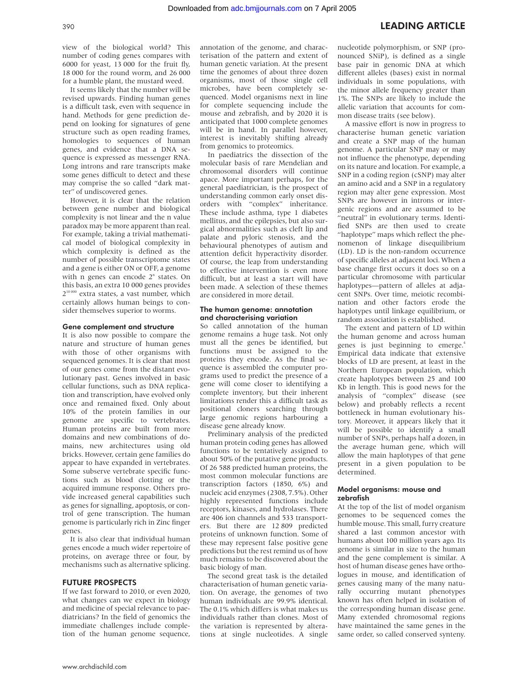view of the biological world? This number of coding genes compares with 6000 for yeast, 13 000 for the fruit fly, 18 000 for the round worm, and 26 000 for a humble plant, the mustard weed.

It seems likely that the number will be revised upwards. Finding human genes is a difficult task, even with sequence in hand. Methods for gene prediction depend on looking for signatures of gene structure such as open reading frames, homologies to sequences of human genes, and evidence that a DNA sequence is expressed as messenger RNA. Long introns and rare transcripts make some genes difficult to detect and these may comprise the so called "dark matter" of undiscovered genes.

However, it is clear that the relation between gene number and biological complexity is not linear and the n value paradox may be more apparent than real. For example, taking a trivial mathematical model of biological complexity in which complexity is defined as the number of possible transcriptome states and a gene is either ON or OFF, a genome with n genes can encode  $2<sup>n</sup>$  states. On this basis, an extra 10 000 genes provides 2<sup>10000</sup> extra states, a vast number, which certainly allows human beings to consider themselves superior to worms.

#### Gene complement and structure

It is also now possible to compare the nature and structure of human genes with those of other organisms with sequenced genomes. It is clear that most of our genes come from the distant evolutionary past. Genes involved in basic cellular functions, such as DNA replication and transcription, have evolved only once and remained fixed. Only about 10% of the protein families in our genome are specific to vertebrates. Human proteins are built from more domains and new combinations of domains, new architectures using old bricks. However, certain gene families do appear to have expanded in vertebrates. Some subserve vertebrate specific functions such as blood clotting or the acquired immune response. Others provide increased general capabilities such as genes for signalling, apoptosis, or control of gene transcription. The human genome is particularly rich in Zinc finger genes.

It is also clear that individual human genes encode a much wider repertoire of proteins, on average three or four, by mechanisms such as alternative splicing.

#### FUTURE PROSPECTS

If we fast forward to 2010, or even 2020, what changes can we expect in biology and medicine of special relevance to paediatricians? In the field of genomics the immediate challenges include completion of the human genome sequence,

annotation of the genome, and characterisation of the pattern and extent of human genetic variation. At the present time the genomes of about three dozen organisms, most of those single cell microbes, have been completely sequenced. Model organisms next in line for complete sequencing include the mouse and zebrafish, and by 2020 it is anticipated that 1000 complete genomes will be in hand. In parallel however, interest is inevitably shifting already from genomics to proteomics.

In paediatrics the dissection of the molecular basis of rare Mendelian and chromosomal disorders will continue apace. More important perhaps, for the general paediatrician, is the prospect of understanding common early onset disorders with "complex" inheritance. These include asthma, type 1 diabetes mellitus, and the epilepsies, but also surgical abnormalities such as cleft lip and palate and pyloric stenosis, and the behavioural phenotypes of autism and attention deficit hyperactivity disorder. Of course, the leap from understanding to effective intervention is even more difficult, but at least a start will have been made. A selection of these themes are considered in more detail.

#### The human genome: annotation and characterising variation

So called annotation of the human genome remains a huge task. Not only must all the genes be identified, but functions must be assigned to the proteins they encode. As the final sequence is assembled the computer programs used to predict the presence of a gene will come closer to identifying a complete inventory, but their inherent limitations render this a difficult task as positional cloners searching through large genomic regions harbouring a disease gene already know.

Preliminary analysis of the predicted human protein coding genes has allowed functions to be tentatively assigned to about 50% of the putative gene products. Of 26 588 predicted human proteins, the most common molecular functions are transcription factors (1850, 6%) and nucleic acid enzymes (2308, 7.5%). Other highly represented functions include receptors, kinases, and hydrolases. There are 406 ion channels and 533 transporters. But there are 12 809 predicted proteins of unknown function. Some of these may represent false positive gene predictions but the rest remind us of how much remains to be discovered about the basic biology of man.

The second great task is the detailed characterisation of human genetic variation. On average, the genomes of two human individuals are 99.9% identical. The 0.1% which differs is what makes us individuals rather than clones. Most of the variation is represented by alterations at single nucleotides. A single nounced SNiP), is defined as a single base pair in genomic DNA at which different alleles (bases) exist in normal individuals in some populations, with the minor allele frequency greater than 1%. The SNPs are likely to include the allelic variation that accounts for common disease traits (see below).

A massive effort is now in progress to characterise human genetic variation and create a SNP map of the human genome. A particular SNP may or may not influence the phenotype, depending on its nature and location. For example, a SNP in a coding region (cSNP) may alter an amino acid and a SNP in a regulatory region may alter gene expression. Most SNPs are however in introns or intergenic regions and are assumed to be "neutral" in evolutionary terms. Identified SNPs are then used to create "haplotype" maps which reflect the phenomenon of linkage disequilibrium (LD). LD is the non-random occurrence of specific alleles at adjacent loci. When a base change first occurs it does so on a particular chromosome with particular haplotypes—pattern of alleles at adjacent SNPs. Over time, meiotic recombination and other factors erode the haplotypes until linkage equilibrium, or random association is established.

The extent and pattern of LD within the human genome and across human genes is just beginning to emerge.<sup>4</sup> Empirical data indicate that extensive blocks of LD are present, at least in the Northern European population, which create haplotypes between 25 and 100 Kb in length. This is good news for the analysis of "complex" disease (see below) and probably reflects a recent bottleneck in human evolutionary history. Moreover, it appears likely that it will be possible to identify a small number of SNPs, perhaps half a dozen, in the average human gene, which will allow the main haplotypes of that gene present in a given population to be determined.

#### Model organisms: mouse and zebrafish

At the top of the list of model organism genomes to be sequenced comes the humble mouse. This small, furry creature shared a last common ancestor with humans about 100 million years ago. Its genome is similar in size to the human and the gene complement is similar. A host of human disease genes have orthologues in mouse, and identification of genes causing many of the many naturally occurring mutant phenotypes known has often helped in isolation of the corresponding human disease gene. Many extended chromosomal regions have maintained the same genes in the same order, so called conserved synteny.